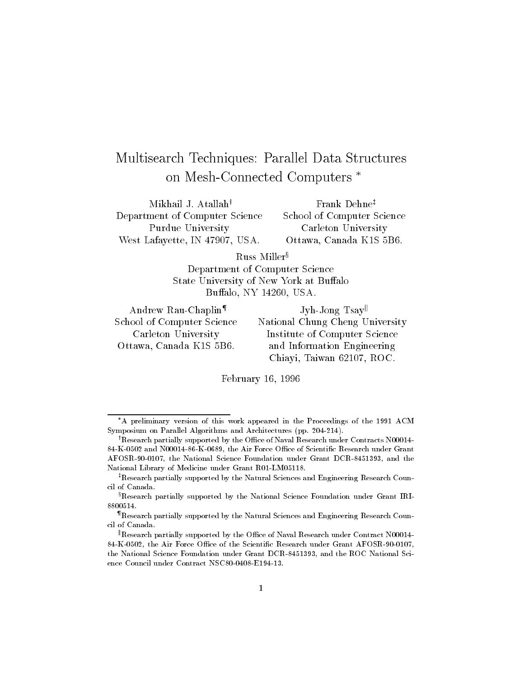# Multisearch Techniques: Parallel Data Structures on Mesh-Connected Computers

Mikhail J. Atallah<sup>†</sup> Department of Computer Science Purdue University West Lafayette, IN 47907, USA. Frank Dehne<sup>‡</sup> School of Computer Science Carleton University Ottawa, Canada K1S 5B6.

Russ Miller<sup>§</sup>

Department of Computer Science State University of New York at Buffalo Buffalo, NY 14260, USA.

Andrew Rau-Chaplin<sup>¶</sup> School of Computer Science Carleton University Ottawa, Canada K1S 5B6.

Jyh-Jong Tsay National Chung Cheng University Institute of Computer Science and Information Engineering Chiayi, Taiwan 62107, ROC.

February 16, 1996

A preliminary version of this work appeared in the Proceedings of the 1991 ACM Symposium on Parallel Algorithms and Architectures (pp. 204-214).

<sup>&</sup>lt;sup>†</sup>Research partially supported by the Office of Naval Research under Contracts N00014-84-K-0502 and N00014-86-K-0689, the Air Force Office of Scientific Research under Grant AFOSR-90-0107, the National Science Foundation under Grant DCR-8451393, and the National Library of Medicine under Grant R01-LM05118.

 ${}^{\ddagger}$ Research partially supported by the Natural Sciences and Engineering Research Council of Canada.

 ${}^{8}$ Research partially supported by the National Science Foundation under Grant IRI-8800514.

<sup>{</sup>Research partially supported by the Natural Sciences and Engineering Research Council of Canada.

Research partially supported by the Office of Naval Research under Contract N00014-84-K-0502, the Air Force Office of the Scientific Research under Grant AFOSR-90-0107, the National Science Foundation under Grant DCR-8451393, and the ROC National Science Council under Contract NSC80-0408-E194-13.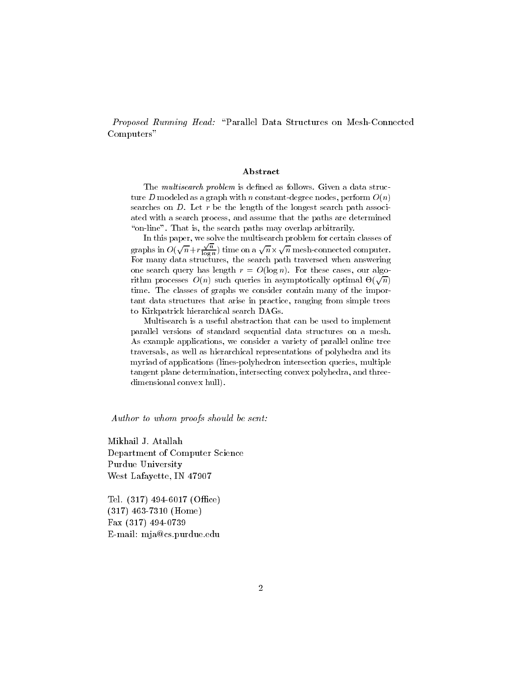Proposed Running Head: \Parallel Data Structures on Mesh-Connected Computers"

#### Abstract

The *multisearch problem* is defined as follows. Given a data structure D modeled as a graph with n constant-degree nodes, perform  $O(n)$ searches on  $D$ . Let r be the length of the longest search path associated with a search process, and assume that the paths are determined "on-line". That is, the search paths may overlap arbitrarily.

In this paper, we solve the multisearch problem for certain classes of graphs in  $O(\sqrt{n}+r\frac{\sqrt{n}}{\log n})$  time on a  $\sqrt{n}\times\sqrt{n}$  mesh-connected computer. For many data structures, the search path traversed when answering one search query has length  $r = O(\log n)$ . For these cases, our algorithm processes  $O(n)$  such queries in asymptotically optimal  $\Theta(\sqrt{n})$ time. The classes of graphs we consider contain many of the important data structures that arise in practice, ranging from simple trees to Kirkpatrick hierarchical search DAGs.

Multisearch is a useful abstraction that can be used to implement parallel versions of standard sequential data structures on a mesh. As example applications, we consider a variety of parallel online tree traversals, as well as hierarchical representations of polyhedra and its myriad of applications (lines-polyhedron intersection queries, multiple tangent plane determination, intersecting convex polyhedra, and threedimensional convex hull).

Author to whom proofs should be sent:

Mikhail J. Atallah Department of Computer Science Purdue University West Lafayette, IN 47907

Tel.  $(317)$  494-6017 (Office) (317) 463-7310 (Home) Fax (317) 494-0739 E-mail: mja@cs.purdue.edu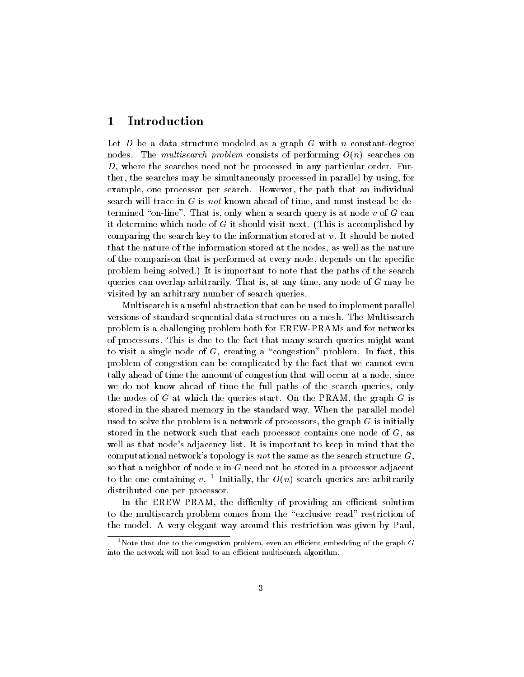#### 1Introduction

Let D be a data structure modeled as a graph G with n constant-degree nodes. The multisearch problem consists of performing  $O(n)$  searches on  $D$ , where the searches need not be processed in any particular order. Further, the searches may be simultaneously processed in parallel by using, for example, one processor per search. However, the path that an individual search will trace in  $G$  is not known ahead of time, and must instead be determined "on-line". That is, only when a search query is at node v of G can it determine which node of <sup>G</sup> it should visit next. (This is accomplished by comparing the search key to the information stored at  $v$ . It should be noted that the nature of the information stored at the nodes, as well as the nature of the comparison that is performed at every node, depends on the specific problem being solved.) It is important to note that the paths of the search queries can overlap arbitrarily. That is, at any time, any node of <sup>G</sup> may be visited by an arbitrary number of search queries.

Multisearch is a useful abstraction that can be used to implement parallel versions of standard sequential data structures on a mesh. The Multisearch problem is a challenging problem both for EREW-PRAMs and for networks of processors. This is due to the fact that many search queries might want to visit a single node of  $G$ , creating a "congestion" problem. In fact, this problem of congestion can be complicated by the fact that we cannot even tally ahead of time the amount of congestion that will occur at a node, since we do not know ahead of time the full paths of the search queries, only the nodes of G at which the queries start. On the  $PRAM$ , the graph G is stored in the shared memory in the standard way. When the parallel model used to solve the problem is a network of processors, the graph  $G$  is initially stored in the network such that each processor contains one node of  $G$ , as well as that node's adjacency list. It is important to keep in mind that the computational network's topology is not the same as the search structure  $G$ , so that a neighbor of node  $v$  in  $G$  need not be stored in a processor adjacent to the one containing  $v_+$  1 initially, the  $O(n)$  search queries are arbitrarily distributed one per processor.

In the EREW-PRAM, the difficulty of providing an efficient solution to the multisearch problem comes from the \exclusive read" restriction of the model. A very elegant way around this restriction was given by Paul,

 $^1$ Note that due to the congestion problem, even an efficient embedding of the graph  $G$ into the network will not lead to an efficient multisearch algorithm.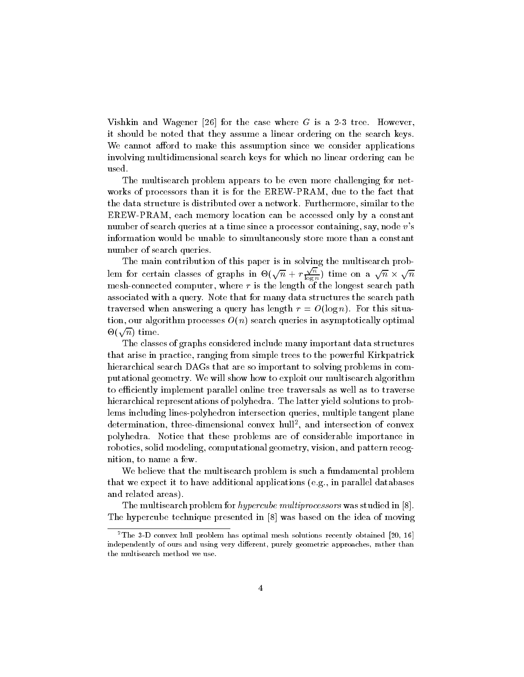Vishkin and Wagener [26] for the case where  $G$  is a 2-3 tree. However, it should be noted that they assume a linear ordering on the search keys. We cannot afford to make this assumption since we consider applications involving multidimensional search keys for which no linear ordering can be used.

The multisearch problem appears to be even more challenging for networks of processors than it is for the EREW-PRAM, due to the fact that the data structure is distributed over a network. Furthermore, similar to the EREW-PRAM, each memory location can be accessed only by a constant number of search queries at a time since a processor containing, say, node v's information would be unable to simultaneously store more than a constant number of search queries.

The main contribution of this paper is in solving the multisearch problem for certain classes of graphs in  $\Theta(\sqrt{n} + r \frac{\sqrt{n}}{\log n})$  t  $\frac{\sqrt{n}}{\log n}$ ) time on a  $\sqrt{n} \times \sqrt{n}$ mesh-connected computer, where <sup>r</sup> is the length of the longest search path associated with a query. Note that for many data structures the search path traversed when answering a query has length  $r = O(\log n)$ . For this situation, our algorithm processes  $O(n)$  search queries in asymptotically optimal  $\Theta(\sqrt{n})$  time.

The classes of graphs considered include many important data structures that arise in practice, ranging from simple trees to the powerful Kirkpatrick hierarchical search DAGs that are so important to solving problems in computational geometry. We will show how to exploit our multisearch algorithm to efficiently implement parallel online tree traversals as well as to traverse hierarchical representations of polyhedra. The latter yield solutions to problems including lines-polyhedron intersection queries, multiple tangent plane determination, three-dimensional convex hull2 , and intersection of convex polyhedra. Notice that these problems are of considerable importance in robotics, solid modeling, computational geometry, vision, and pattern recognition, to name a few.

We believe that the multisearch problem is such a fundamental problem that we expect it to have additional applications (e.g., in parallel databases and related areas).

The multisearch problem for hypercube multiprocessors was studied in [8]. The hypercube technique presented in [8] was based on the idea of moving

<sup>&</sup>lt;sup>2</sup>The 3-D convex hull problem has optimal mesh solutions recently obtained [20, 16] independently of ours and using very different, purely geometric approaches, rather than the multisearch method we use.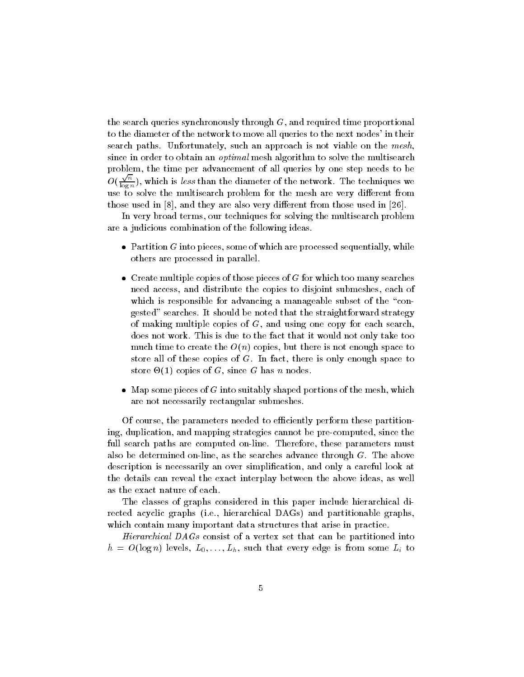the search queries synchronously through  $G$ , and required time proportional to the diameter of the network to move all queries to the next nodes' in their search paths. Unfortunately, such an approach is not viable on the  $mesh$ . since in order to obtain an *optimal* mesh algorithm to solve the multisearch problem, the time per advancement of all queries by one step needs to be  $O(\sqrt{n})$ , y  $\log n / \sqrt{1 - \log n}$ use to solve the multisearch problem for the mesh are very dierent from those used in  $[8]$ , and they are also very different from those used in  $[26]$ .

In very broad terms, our techniques for solving the multisearch problem are a judicious combination of the following ideas.

- $\bullet$  Partition G into pieces, some of which are processed sequentially, while others are processed in parallel.
- $\bullet\,$  Create multiple copies of those pieces of G for which too many searches need access, and distribute the copies to disjoint submeshes, each of which is responsible for advancing a manageable subset of the "congested" searches. It should be noted that the straightforward strategy of making multiple copies of  $G$ , and using one copy for each search. does not work. This is due to the fact that it would not only take too much time to create the  $O(n)$  copies, but there is not enough space to store all of these copies of  $G$ . In fact, there is only enough space to store -(1) copies of G, since <sup>G</sup> has <sup>n</sup> nodes.
- $\bullet$  -map some pieces of G into suitably shaped portions of the mesh, which  $\bullet$ are not necessarily rectangular submeshes.

Of course, the parameters needed to efficiently perform these partitioning, duplication, and mapping strategies cannot be pre-computed, since the full search paths are computed on-line. Therefore, these parameters must also be determined on-line, as the searches advance through  $G$ . The above description is necessarily an over simplication, and only a careful look at the details can reveal the exact interplay between the above ideas, as well as the exact nature of each.

The classes of graphs considered in this paper include hierarchical directed acyclic graphs (i.e., hierarchical DAGs) and partitionable graphs, which contain many important data structures that arise in practice.

Hierarchical DAGs consist of a vertex set that can be partitioned into  $h \ = \ O(\log n)$  levels,  $L_0, \ldots, L_h,$  such that every edge is from some  $L_i$  to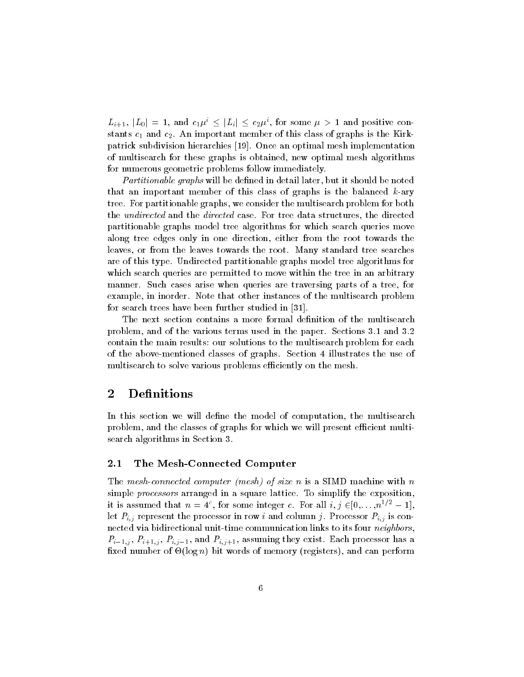$L_{i+1}, |L_0| = 1$ , and  $c_1\mu^i \leq |L_i| \leq c_2\mu^i$ , for some  $\mu > 1$  and positive constants c1 and c2. And member of this class of this class of class of Graphs is the Kirkpatrick subdivision hierarchies [19]. Once an optimal mesh implementation of multisearch for these graphs is obtained, new optimal mesh algorithms for numerous geometric problems follow immediately.

Partitionable graphs will be defined in detail later, but it should be noted that an important member of this class of graphs is the balanced  $k$ -ary tree. For partitionable graphs, we consider the multisearch problem for both the *undirected* and the *directed* case. For tree data structures, the directed partitionable graphs model tree algorithms for which search queries move along tree edges only in one direction, either from the root towards the leaves, or from the leaves towards the root. Many standard tree searches are of this type. Undirected partitionable graphs model tree algorithms for which search queries are permitted to move within the tree in an arbitrary manner. Such cases arise when queries are traversing parts of a tree, for example, in inorder. Note that other instances of the multisearch problem for search trees have been further studied in [31].

The next section contains a more formal definition of the multisearch problem, and of the various terms used in the paper. Sections 3.1 and 3.2 contain the main results: our solutions to the multisearch problem for each of the above-mentioned classes of graphs. Section 4 illustrates the use of multisearch to solve various problems efficiently on the mesh.

#### 2**Definitions**

In this section we will define the model of computation, the multisearch problem, and the classes of graphs for which we will present efficient multisearch algorithms in Section 3.

### 2.1 The Mesh-Connected Computer

The mesh-connected computer (mesh) of size n is a SIMD machine with  $n$ simple *processors* arranged in a square lattice. To simplify the exposition, it is assumed that  $n = 4^{\circ}$ , for some integer c. For all  $i, j \in [0, \ldots, n^{1/2} - 1]$ , let  $P_{i,j}$  represent the processor in row i and column j. Processor  $P_{i,j}$  is connected via bidirectional unit-time communication links to its four neighbors,  $P_{i-1,j}$ ,  $P_{i+1,j}$ ,  $P_{i,j-1}$ , and  $P_{i,j+1}$ , assuming they exist. Each processor has a xed number of -(log n) bit words of memory (registers), and can perform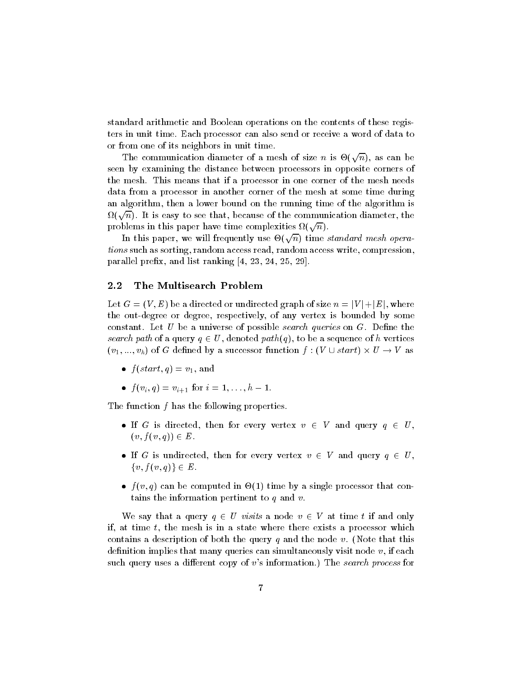standard arithmetic and Boolean operations on the contents of these registers in unit time. Each processor can also send or receiveaword of data to or from one of its neighbors in unit time.

The communication diameter of a mesh of size n is  $\Theta(\sqrt{n})$ , as can be seen by examining the distance between processors in opposite corners of the mesh. This means that if a processor in one corner of the mesh needs data from a processor in another corner of the mesh at some time during an algorithm, then a lower bound on the running time of the algorithm is  $\Omega(\sqrt{n}).$  It is easy to see that, because of the communication diameter, the problems in this paper have time complexities  $\Omega(\sqrt{n}).$ 

In this paper, we will frequently use  $\Theta(\sqrt{n})$  time standard mesh operations such as sorting, random access read, random access write, compression, parallel prefix, and list ranking  $[4, 23, 24, 25, 29]$ .

#### 2.2 The Multisearch Problem

Let  $G = (V, E)$  be a directed or undirected graph of size  $n = |V| + |E|$ , where the out-degree or degree, respectively, of any vertex is bounded by some constant. Let U be a universe of possible search queries on  $G$ . Define the search path of a query  $q \in U$ , denoted path $(q)$ , to be a sequence of h vertices  $(v_1, ..., v_h)$  of G defined by a successor function  $f: (V \cup start) \times U \rightarrow V$  as

- $\bullet$   $f(\text{start}, q) = v_1$ , and
- $\bullet$   $f(v_i, q) = v_{i+1}$  for  $i = 1, \ldots, n-1$ .

The function f has the following properties.

- If G is directed, then for every vertex  $v \in V$  and query  $q \in U$ ,  $(v, f(v, q)) \in E.$
- If G is undirected, then for every vertex  $v \in V$  and query  $q \in U$ ,  $\{v, f(v, q)\}\in E$ .
- $\bullet$   $\tau(v,q)$  can be computed in  $\circlearrowleft(1)$  time by a single processor that contains the information pertinent to  $q$  and  $v$ .

We say that a query  $q \in U$  visits a node  $v \in V$  at time t if and only if, at time  $t$ , the mesh is in a state where there exists a processor which contains a description of both the query q and the node v. (Note that this definition implies that many queries can simultaneously visit node  $v$ , if each such query uses a different copy of v's information.) The search process for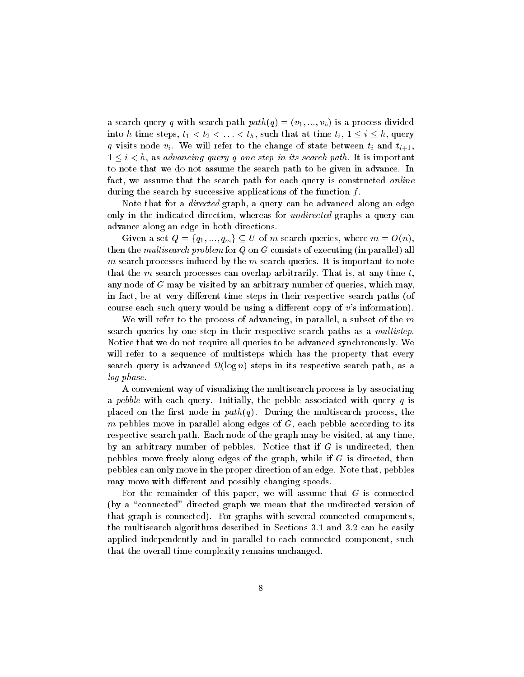a search query q with search path  $path(q)=(v_1, ..., v_h)$  is a process divided into h time steps,  $t_1 < t_2 < \ldots < t_h$ , such that at time  $t_i, 1 \leq i \leq h$ , query q visits node  $v_i$ . We will refer to the change of state between  $t_i$  and  $t_{i+1}$ ,  $1 \leq i \leq h$ , as advancing query q one step in its search path. It is important to note that we do not assume the search path to be given in advance. In fact, we assume that the search path for each query is constructed *online* during the search by successive applications of the function  $f$ .

Note that for a *directed* graph, a query can be advanced along an edge only in the indicated direction, whereas for *undirected* graphs a query can advance along an edge in both directions.

Given a set  $Q = \{q_1, ..., q_m\} \subseteq U$  of m search queries, where  $m = O(n)$ . then the multisearch problem for  $Q$  on  $G$  consists of executing (in parallel) all m search processes induced by the  $m$  search queries. It is important to note that the m search processes can overlap arbitrarily. That is, at any time  $t$ , any node of  $G$  may be visited by an arbitrary number of queries, which may, in fact, be at very different time steps in their respective search paths (of course each such query would be using a different copy of  $v$ 's information).

We will refer to the process of advancing, in parallel, a subset of the  $m$ search queries by one step in their respective search paths as a *multistep*. Notice that we do not require all queries to be advanced synchronously. We will refer to a sequence of multisteps which has the property that every search query is advanced in its respective search path, as a step in its respective search path, as a step log-phase.

A convenient way of visualizing the multisearch process is by associating a pebble with each query. Initially, the pebble associated with query  $q$  is placed on the first node in  $path(q)$ . During the multisearch process, the m pebbles move in parallel along edges of  $G$ , each pebble according to its respective search path. Each node of the graph may be visited, at any time, by an arbitrary number of pebbles. Notice that if <sup>G</sup> is undirected, then pebbles move freely along edges of the graph, while if <sup>G</sup> is directed, then pebbles can only move in the proper direction of an edge. Note that, pebbles may move with different and possibly changing speeds.

For the remainder of this paper, we will assume that  $G$  is connected (by a "connected" directed graph we mean that the undirected version of that graph is connected). For graphs with several connected components, the multisearch algorithms described in Sections 3.1 and 3.2 can be easily applied independently and in parallel to each connected component, such that the overall time complexity remains unchanged.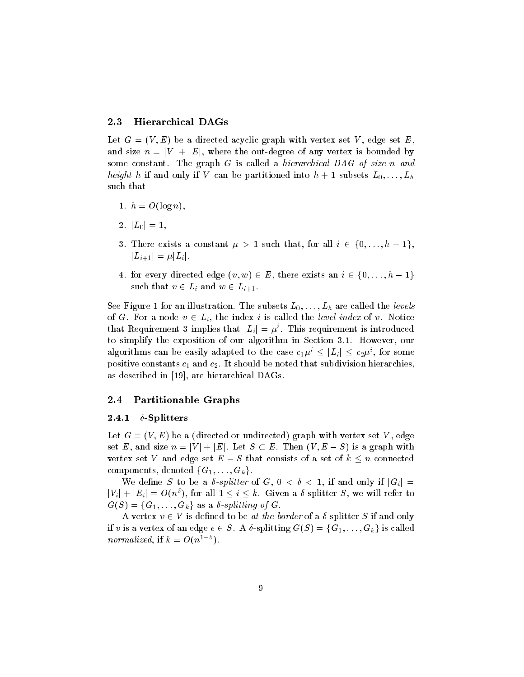### 2.3 Hierarchical DAGs

Let  $G = (V, E)$  be a directed acyclic graph with vertex set V, edge set E, and size  $n = |V| + |E|$ , where the out-degree of any vertex is bounded by some constant. The graph G is called a *hierarchical DAG of size* n and height h if and only if V can be partitioned into  $h + 1$  subsets  $L_0, \ldots, L_h$ such that

- 1.  $h = O(\log n)$
- 2.  $|L_0|=1$ ,
- 3. There exists a constant  $\mu > 1$  such that, for all  $i \in \{0, \ldots, h-1\},\$  $|L_{i+1}| = \mu |L_i|.$
- 4. for every directed edge  $(v, w) \in E$ , there exists an  $i \in \{0, \ldots, h-1\}$ such that  $v \in L_i$  and  $w \in L_{i+1}$ .

See Figure 1 for an illustration. The subsets  $L_0, \ldots, L_h$  are called the levels of G. For a node  $v \in L_i$ , the index i is called the level index of v. Notice that Requirement 3 implies that  $|L_i| = \mu^i$ . This requirement is introduced to simplify the exposition of our algorithm in Section 3.1. However, our algorithms can be easily adapted to the case  $c_1\mu^i\leq |L_i|\leq c_2\mu^i,$  for some positive constants c1 and c2. It should be noted that subdivision hierarchies, as described in [19], are hierarchical DAGs.

### 2.4 Partitionable Graphs

#### 2.4.1  $\delta$ -Splitters

Let  $G = (V, E)$  be a (directed or undirected) graph with vertex set V, edge set E, and size  $n = |V| + |E|$ . Let  $S \subset E$ . Then  $(V, E - S)$  is a graph with vertex set V and edge set  $E-S$  that consists of a set of  $k \leq n$  connected components, denoted  $\{G_1, \ldots, G_k\}.$ 

We define S to be a  $\delta$ -splitter of G,  $0 < \delta < 1$ , if and only if  $|G_i|$  $|V_i| + |E_i| = O(n^{\delta}),$  for all  $1 \leq i \leq k$ . Given a  $\delta$ -splitter S, we will refer to  $G(S) = \{G_1, \ldots, G_k\}$  as a  $\delta$ -splitting of G.

A vertex  $v \in V$  is defined to be at the border of a  $\delta$ -splitter S if and only if v is a vertex of an edge  $e \in S$ . A  $\delta$ -splitting  $G(S) = \{G_1, \ldots, G_k\}$  is called normalized, if  $k = O(n^{1-\delta}).$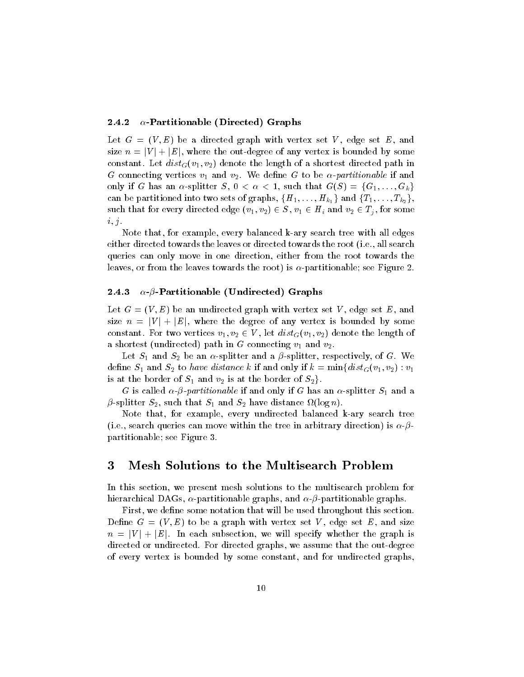### 2.4.2  $\alpha$ -Partitionable (Directed) Graphs

Let  $G = (V, E)$  be a directed graph with vertex set V, edge set E, and size  $n = |V| + |E|$ , where the out-degree of any vertex is bounded by some constant. Let  $dist_G(v_1, v_2)$  denote the length of a shortest directed path in <sup>G</sup> connecting vertices v1 and v2. We dene <sup>G</sup> to be -partitionable if and only if G has an  $\alpha$ -splitter S,  $0 < \alpha < 1$ , such that  $G(S) = \{G_1, \ldots, G_k\}$ can be partitioned into two sets of graphs,  $\{H_1,\ldots,H_{k_1}\}$  and  $\{T_1,\ldots,T_{k_2}\},$ such that for every directed edge (  $v_1, v_2$  )  $\in S$  ,  $v_1 \in H_i$  and  $v_2 \in T_i$  , for some  $i, j$ .<br>Note that, for example, every balanced k-ary search tree with all edges

either directed towards the leaves or directed towards the root (i.e., all search queries can only move in one direction, either from the root towards the leaves, or from the leaves towards the root) is  $\alpha$ -partitionable; see Figure 2.

#### 2.4.3  $\alpha$ - $\beta$ -Partitionable (Undirected) Graphs

Let  $G = (V, E)$  be an undirected graph with vertex set V, edge set E, and size  $n = |V| + |E|$ , where the degree of any vertex is bounded by some constant. For two vertices  $v_1, v_2 \in V$ , let  $\mathit{dist}_G(v_1, v_2)$  denote the length of a shortest (undirected) path in <sup>G</sup> connecting v1 and v2.

where  $\sim$   $\mu$  and  $\sim$  and splitter and a splitter and a proposition of G. Western and A. Western and G. Western and G. Western and G. Western and G. Western and G. Western and G. Western and G. Western and G. Western an define  $S_1$  and  $S_2$  to *have distance k* if and only if  $k = \min\{dist_G(v_1, v_2) : v_1$ is at the border of  $S_1$  and  $v_2$  is at the border of  $S_2$ .

 $\sim$  -called - partition  $\sim$  partition is called the  $\eta$  -called  $\sim$  -splitter  $\sim$   $\sim$   $\sim$ -splitter S2, such that S1 and S2 have distance (log n).

Note that, for example, every undirected balanced k-ary search tree (i.e., search queries can move within the tree in arbitrary direction) is  $\alpha$ - $\beta$ partitionable; see Figure 3.

#### 3Mesh Solutions to the Multisearch Problem

In this section, we present mesh solutions to the multisearch problem for hierarchical DAGs,  $\alpha$ -partitionable graphs, and  $\alpha$ - $\beta$ -partitionable graphs.

First, we define some notation that will be used throughout this section. Define  $G = (V, E)$  to be a graph with vertex set V, edge set E, and size  $n = |V| + |E|$ . In each subsection, we will specify whether the graph is directed or undirected. For directed graphs, we assume that the out-degree of every vertex is bounded by some constant, and for undirected graphs,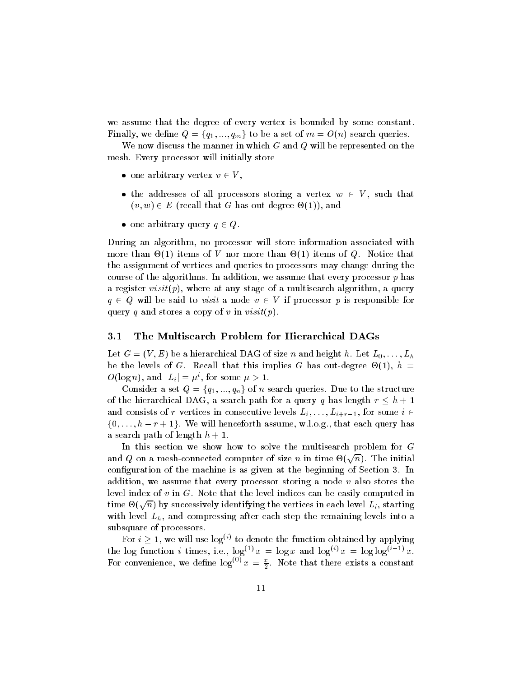we assume that the degree of every vertex is bounded by some constant. Finally, we define  $Q = \{q_1, ..., q_m\}$  to be a set of  $m = O(n)$  search queries.

We now discuss the manner in which  $G$  and  $Q$  will be represented on the mesh. Every processor will initially store

- $\bullet\,$  one arbitrary vertex  $v\in V$  ,
- the addresses of all processors storing a vertex  $w \in V$ , such that  $(v, w) \in E$  (recall that G has out-degree  $\Theta(1)$ ), and
- $\bullet\,$  one arbitrary query  $q\in Q$ .

During an algorithm, no processor will store information associated with more than - (1) items of the more than  $\alpha$  items of  $\alpha$  items of  $\alpha$ the assignment of vertices and queries to processors may change during the course of the algorithms. In addition, we assume that every processor  $p$  has a register  $visit(p)$ , where at any stage of a multisearch algorithm, a query  $q \in Q$  will be said to *visit* a node  $v \in V$  if processor p is responsible for query q and stores a copy of v in  $visit(p)$ .

#### 3.1 The Multisearch Problem for Hierarchical DAGs

Let  $G = (V, E)$  be a hierarchical DAG of size n and height h. Let  $L_0, \ldots, L_h$ be the levels of G. Recall that the called the called  $\mathcal{C}$  is the set  $\mathcal{C}$  $O(\log n)$ , and  $|L_i| = \mu^i$ , for some  $\mu > 1$ .

Consider a set  $Q = \{q_1, ..., q_n\}$  of n search queries. Due to the structure of the hierarchical DAG, a search path for a query q has length  $r \leq h + 1$ and consists of r vertices in consecutive levels  $L_i, \ldots, L_{i+r-1}$ , for some  $i \in$  $\{0,\ldots,h-r+1\}$ . We will henceforth assume, w.l.o.g., that each query has a search path of length  $h + 1$ .

In this section we show how to solve the multisearch problem for <sup>G</sup> and  $Q$  on a mesh-connected computer of size  $n$  in time  $\Theta(\sqrt{n})$ . The initial configuration of the machine is as given at the beginning of Section 3. In addition, we assume that every processor storing a node  $v$  also stores the level index of  $v$  in  $G$ . Note that the level indices can be easily computed in time  $\Theta(\sqrt{n})$  by successively identifying the vertices in each level  $L_i,$  starting with level  $L_h$ , and compressing after each step the remaining levels into a subsquare of processors.

For  $i \geq 1$ , we will use  $\log^{(i)}$  to denote the function obtained by applying the log function  $i$  times, i.e.,  $\log^{i+j} x = \log x$  and  $\log^{i+j} x = \log \log^{i+j} x$ . For convenience, we define  $\log^{(0)} x = \frac{1}{2}$ . Note that there exists a constant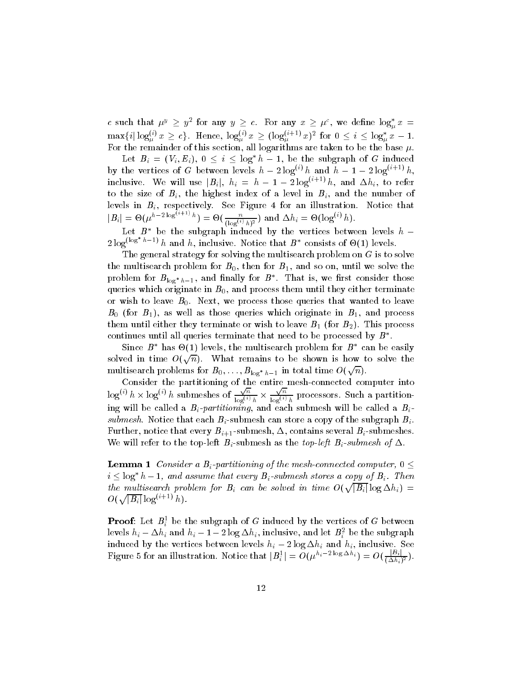c such that  $\mu^y \ge y^2$  for any  $y \ge c$ . For any  $x \ge \mu^c$ , we define  $\log_a^* x =$  $\max\{i | \log_{\mu}^{(i)} x \geq c\}$ . Hence,  $\log_{\mu}^{(i)} x \geq (\log_{\mu}^{(i+1)} x)^2$  for  $0 \leq i \leq \log_{\mu}^* x - 1$ . For the remainder of this section, all logarithms are taken to be the base  $\mu$ .

Let  $B_i = (V_i, E_i), 0 \leq i \leq \log^* h - 1$ , be the subgraph of G induced by the vertices of G between levels  $h - 2 \log^{(i)} h$  and  $h - 1 - 2 \log^{(i+1)} h$ , inclusive. We will use  $|B_i|$ ,  $h_i = h - 1 - 2 \log^{(i+1)} h$ , and  $\Delta h_i$ , to refer to the size of  $B_i$ , the highest index of a level in  $B_i$ , and the number of levels in  $B_i$ , respectively. See Figure 4 for an illustration. Notice that  $|B_i| = \Theta(\mu^{h-2\log^{(\imath+1)}h}) = \Theta(\frac{n}{(\log^{(i)}h)^2}) \text{ and } \Delta h_i = \Theta(\log^{(i)}h).$ 

Let  $D$  be the subgraph induced by the vertices between levels  $n =$  $2\log^{(\log h-1)} h$  and h, inclusive. Notice that  $B^*$  consists of  $\Theta(1)$  levels.

The general strategy for solving the multisearch problem on <sup>G</sup> is to solve the multisearch problem for  $B_0$ , then for  $B_1$ , and so on, until we solve the problem for  $D_{\log^* h-1}$ , and maily for  $D$  . That is, we first consider those queries which originate in  $B_0,$  and process them until they either terminate or wish to leave  $B_0$ . Next, we process those queries that wanted to leave  $B$ 0 (for  $B$ 1), as well as those queries which originate in  $B$  , which process the distribution theory terminate or wish to leave  $\mathbf{r} = \mathbf{1}$  (for  $\mathbf{r} = 2$ ). This processes continues until all queries terminate that need to be processed by  $\bm{D}$  .

Since  $D$  has  $\mathcal{O}(1)$  levels, the multisearch problem for  $D$  can be easily solved in time  $O(\sqrt{n})$ . What remains to be shown is how to solve the multisearch problems for  $B_0,\ldots,B_{\log^*h-1}$  in total time  $O(\sqrt{n}).$ 

Consider the partitioning of the entire mesh-connected computer into  $\log^{(i)} h \times \log^{(i)} h$  submeshes of  $\frac{\sqrt{n}}{\log^{(i)} h} \times \frac{\sqrt{n}}{\log^{(i)} h}$  $\frac{\sqrt{n}}{\log^{(i)} h}$  processors. Such a partitioning will be called a Bi -partitioning, and each submesh will be called a Bisubmesh. Notice that each  $B_i$ -submesh can store a copy of the subgraph  $B_i$ . Further, notice that every  $B_{i+1}$  submesh,  $\Delta,$  contains several  $B_i$  submeshes. We will refer to the top-left  $B_i$ -submesh as the top-left  $B_i$ -submesh of  $\Delta$ .

**Lemma 1** Consider a  $B_i$ -partitioning of the mesh-connected computer,  $0 \leq$  $i \leq \log^* h - 1$ , and assume that every  $B_i$ -submesh stores a copy of  $B_i$ . Then the multisearch problem for  $B_i$  can be solved in time  $O(\sqrt{|B_i|}\log \Delta h_i) =$  $O(\sqrt{|B_i|}\log^{(i+1)}h).$ 

**Proof:** Let  $B_i^*$  be the subgraph of G induced by the vertices of G between levels  $n_i - \Delta n_i$  and  $n_i - 1 - 2 \log \Delta n_i,$  inclusive, and let  $B_i^\tau$  be the subgraph induced by the vertices between levels  $h_i - 2 \log \Delta h_i$  and  $h_i$ , inclusive. See Figure 5 for an illustration. Notice that  $|B_i^1| = O(\mu^{h_i - 2\log \Delta h_i}) = O(\frac{|B_i|}{(\Delta h_i)^2}).$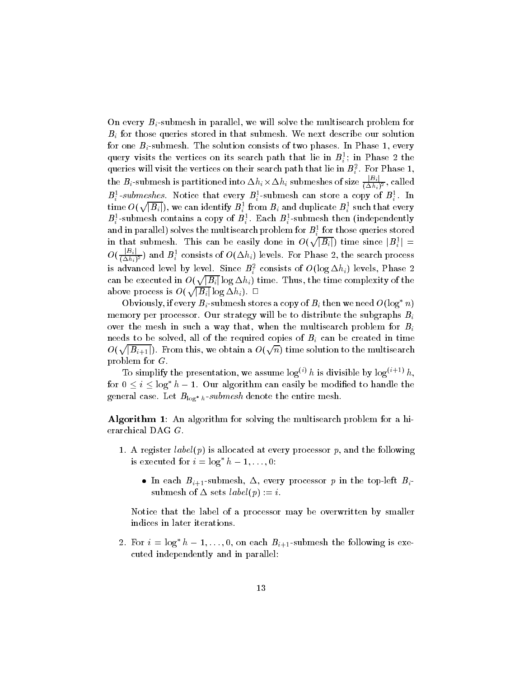On every  $B_i$ -submesh in parallel, we will solve the multisearch problem for  $B_i$  for those queries stored in that submesh. We next describe our solution for one  $B_i$ -submesh. The solution consists of two phases. In Phase 1, every query visits the vertices on its search path that lie in  $B_i^{\pm};$  in Phase 2 the queries will visit the vertices on their search path that lie in  $B_i^\tau.$  For Phase 1, the  $B_i$ -submesh is partitioned into  $\Delta h_i \times \Delta h_i$  submeshes of size  $\frac{1-\epsilon_1}{(\Delta h_i)^2}$ , called  $\bm{B}_i^z$  -submeshes. Notice that every  $\bm{B}_i^z$  -submesh can store a copy of  $\bm{B}_i^z$  . In  $\dim$ e  $O(\sqrt{|B_i|}),$  we can identify  $B_i^1$  from  $B_i$  and duplicate  $B_i^1$  such that every  $B_i^\circ\text{-submesh}$  contains a copy of  $B_i^\circ\text{-}$  . Each  $B_i^\circ\text{-submesh}$  then (independently and in parallel ) solves the multisearch problem for  $B_i^\pm$  for those queries stored in that submesh. This can be easily done in  $O(\sqrt{|B_i|})$  time since  $|B_i^1| =$  $O(\frac{1-\epsilon_1}{(\Delta h_i)^2})$  and  $B_i^+$  consists of  $O(\Delta h_i)$  levels. For Phase 2, the search process is advanced level by level. Since  $B_i^z$  consists of  $O(\log \Delta n_i)$  levels, Phase 2 can be executed in  $O(\sqrt{|B_i|}\log \Delta h_i)$  time. Thus, the time complexity of the above process is  $O(\sqrt{|B_i|}\log \Delta h_i)$ .  $\Box$ 

Obviously, if every  $B_i$ -submesh stores a copy of  $B_i$  then we need  $O(\log^* n)$ memory per processor. Our strategy will be to distribute the subgraphs  $B_i$ over the mesh in such a way that, when the multisearch problem for  $B_i$ needs to be solved, all of the required copies of  $B_i$  can be created in time  $O(\sqrt{|B_{i+1}|})$ . From this, we obtain a  $O(\sqrt{n})$  time solution to the multisearch problem for G.

To simplify the presentation, we assume  $\log^{(i)} h$  is divisible by  $\log^{(i+1)} h$ , for  $0 \leq i \leq \log^* h - 1$ . Our algorithm can easily be modified to handle the  $S$ eneral case. Let  $D_{100}$  h submesh denote the entire mesh.

Algorithm 1: An algorithm for solving the multisearch problem for a hierarchical DAG G.

- 1. A register  $label(p)$  is allocated at every processor p, and the following is executed for  $i = \log^* h - 1, \ldots, 0$ :
	- $\bullet$  in each  $B_{i+1}$  -submesh,  $\Delta$ , every processor  $p$  in the top-left  $B_i$ submesh of  $\Delta$  sets *label*(p) := *i*.

Notice that the label of a processor may be overwritten by smaller indices in later iterations.

2. For  $i = \log^* h - 1, \ldots, 0$ , on each  $B_{i+1}$ -submesh the following is executed independently and in parallel: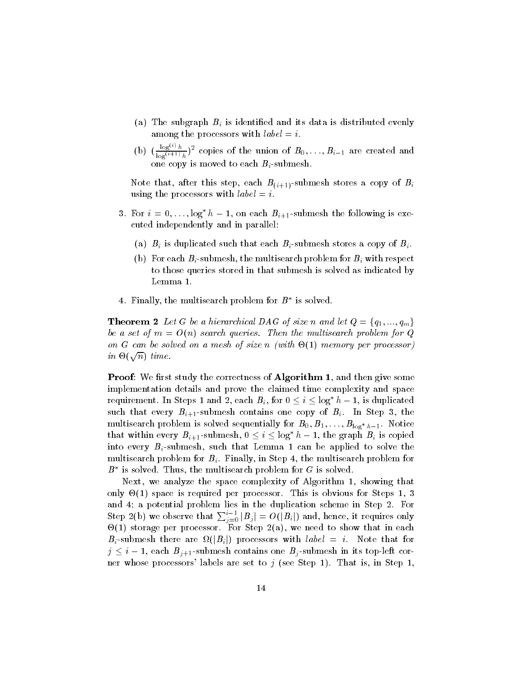- (a) The subgraph  $B_i$  is identified and its data is distributed evenly among the processors with  $label = i$ .
- (b)  $\left(\frac{\log^{(1)}(h)}{\log^{(i+1)}(h)}\right)^2$  copies of the union of  $B_0, \ldots, B_{i-1}$  are created and one copy is moved to each Bi -submesh.

Note that, after this step, each  $B_{(i+1)}$ -submesh stores a copy of  $B_i$ using the processors with  $label = i$ .

- 3. For  $i = 0, \ldots, \log^* h 1$ , on each  $B_{i+1}$ -submesh the following is executed independently and in parallel:
	- (a)  $B_i$  is duplicated such that each  $B_i$ -submesh stores a copy of  $B_i$ .
	- (b) For each  $B_i$ -submesh, the multisearch problem for  $B_i$  with respect to those queries stored in that submesh is solved as indicated by Lemma 1.
- 4. Finally, the multisearch problem for *D* is solved.

**Theorem 2** Let G be a hierarchical DAG of size n and let  $Q = \{q_1, ..., q_m\}$ be a set of  $m = O(n)$  search queries. Then the multisearch problem for Q on <sup>G</sup> can be solved on a mesh of size <sup>n</sup> (with -(1) memory per processor) in  $\Theta(\sqrt{n})$  time.

**Proof:** We first study the correctness of **Algorithm 1**, and then give some implementation details and prove the claimed time complexity and space requirement. In Steps 1 and 2, each  $B_i$ , for  $0 \le i \le \log^* h - 1$ , is duplicated such that every  $B_{i+1}$ -submesh contains one copy of  $B_i$ . In Step 3, the  $\mathbf{m}$  is solved in the sequentially for  $B_0$ ;  $B_1$ ;  $\cdots$ ;  $B_{10}$   $\mathbf{g}$   $_{n-1}$ . Notice that within every  $B_{i+1}$ -submesh,  $0 \leq i \leq \log^* h - 1$ , the graph  $B_i$  is copied into every  $B_i$ -submesh, such that Lemma 1 can be applied to solve the multisearch problem for  $B_i$ . Finally, in Step 4, the multisearch problem for  $D$  is solved. Thus, the multisearch problem for G is solved.

Next, we analyze the space complexity of Algorithm 1, showing that only -(1) space is required per processor. This is obvious for Steps 1, 3 and 4; a potential problem lies in the duplication scheme in Step 2. For Step 2(b) we observe that  $\sum_{i=0}^{i-1} |B_i| = O(|B_i|)$  and, hence, it requires only -(1) storage per processor. For Step 2(a), we need to show that in each  $B_i$ -submesh there are  $\Omega(|B_i|)$  processors with *label* = *i*. Note that for  $j \le i - 1$ , each  $B_{j+1}$ -submesh contains one  $B_j$ -submesh in its top-left corner whose processors' labels are set to  $j$  (see Step 1). That is, in Step 1,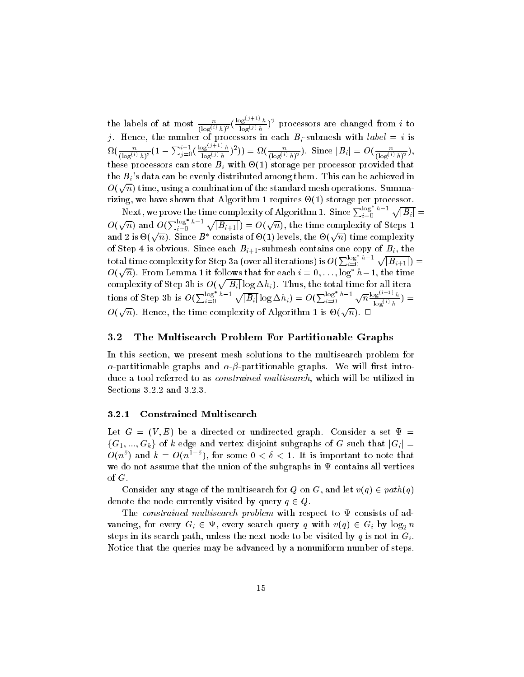the labels of at most  $\frac{1}{(\log^{(i)} h)^2}(\frac{1}{\log^{i}})$  $\frac{\log^{(j+1)} h}{\log^{(j)} h}$  processors are changed from i to j. Hence, the number of process in the number  $\mathcal{L}$  is distinct that in the interval  $\Omega(\frac{n}{(\log^{(i)}h)^2}(1-\sum_{j=0}^{i-1}(\frac{\log n}{\log n}))$  $\frac{\log^{(3+1)} h}{\log^{(j)} h}$   $\binom{n}{\log^{(i)} h}$ . Since  $|B_i| = O(\frac{n}{(\log^{(i)} h)^2})$ , these processors can store Bi with - (2) storage per processor processor cannot the  $B_i$ 's data can be evenly distributed among them. This can be achieved in  $O(\sqrt{n})$  time, using a combination of the standard mesh operations. Summarizing, we have shown that Algorithm 1 requires -(1) storage per processor.

Next, we prove the time complexity of Algorithm 1. Since  $\sum_{i=0}^{\log}$   $^{n-1}$   $\sqrt{|B_i|} =$  $O(\sqrt{n})$  and  $O(\sum_{i=0}^{\log n-1} \sqrt{|B_{i+1}|}) = O(\sqrt{n}),$  the time complexity of Steps 1 and 2 is  $\Theta(\sqrt{n})$ . Since  $B^*$  consists of  $\Theta(1)$  levels, the  $\Theta(\sqrt{n})$  time complexity  $\text{total time complexity for Step 3a (over all iterations) is } O(\sum_{i=0}^{\log^* h-1} \sqrt{|B_{i+1}|}) =$  $O(\sqrt{n})$ . From Lemma 1 it follows that for each  $i = 0, \ldots, \log^* h-1,$  the time complexity of Step 3b is  $O(\sqrt{|B_i|}\log \Delta h_i)$ . Thus, the total time for all iterations of Step 3b is  $O(\sum_{i=0}^{\log^+ h-1} \sqrt{|B_i|} \log \Delta h_i) = O(\sum_{i=0}^{\log^+ h-1} \sqrt{n} \frac{\log^{(i+1)} h}{\log^{(i)} h}) =$  $O(\sqrt{n})$ . Hence, the time complexity of Algorithm 1 is  $\Theta(\sqrt{n})$ .  $\Box$ 

### 3.2 The Multisearch Problem For Partitionable Graphs

In this section, we present mesh solutions to the multisearch problem for  $\alpha$ -partitionable graphs and  $\alpha$ - $\beta$ -partitionable graphs. We will first introduce a tool referred to as *constrained multisearch*, which will be utilized in Sections 3.2.2 and 3.2.3.

#### 3.2.1 Constrained Multisearch

Let  $G = (V, E)$  be a directed or undirected graph. Consider a set  $\Psi =$  ${G_1, ..., G_k}$  of k edge and vertex disjoint subgraphs of G such that  $|G_i|$  =  $O(n^{\delta})$  and  $k = O(n^{1-\delta}),$  for some  $0 < \delta < 1$ . It is important to note that we do not assume that the union of the subgraphs in  $\Psi$  contains all vertices of G.<br>Consider any stage of the multisearch for Q on G, and let  $v(q) \in path(q)$ 

denote the node currently visited by query  $q \in Q$ .

The constrained multisearch problem with respect to  $\Psi$  consists of advancing, for every  $G_i \in \Psi$ , every search query q with  $v(q) \in G_i$  by  $\log_2 n$ steps in its search path, unless the next node to be visited by q is not in  $G_i$ . Notice that the queries may be advanced by a nonuniform number of steps.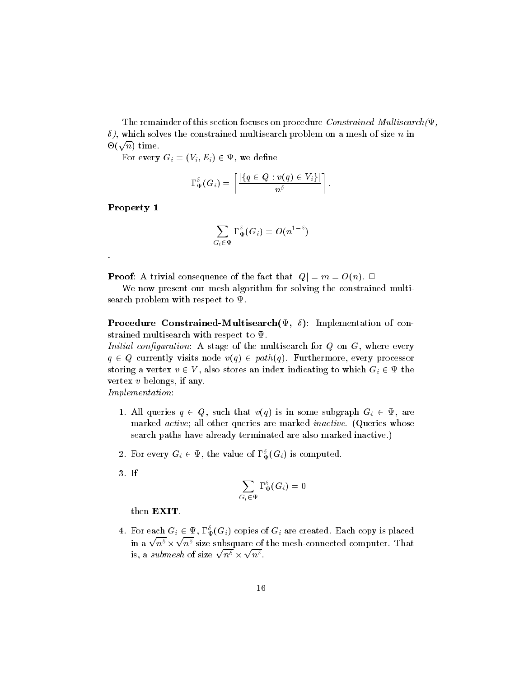The remainder of this section focuses on procedure *Constrained-Multisearch* $(\Psi)$  $\delta$ ), which solves the constrained multisearch problem on a mesh of size n in  $\Theta(\sqrt{n})$  time.

For every  $G_i = (V_i, E_i) \in \Psi$ , we define

$$
\Gamma^{\delta}_{\Psi}(G_i)=\left\lceil \frac{|\{q\in Q:v(q)\in V_i\}|}{n^{\delta}}\right\rceil.
$$

Property 1

$$
\sum_{G_i\in\Psi}\Gamma_\Psi^\delta(G_i)=O(n^{1-\delta})
$$

**Proof:** A trivial consequence of the fact that  $|Q| = m = O(n)$ .  $\Box$ 

We now present our mesh algorithm for solving the constrained multisearch problem with respect to  $\Psi.$ 

**Procedure Constrained-Multisearch** $(\Psi, \delta)$ : Implementation of constrained multisearch with respect to  $\Psi.$ 

*Initial configuration*: A stage of the multisearch for  $Q$  on  $G$ , where every  $q \in Q$  currently visits node  $v(q) \in path(q)$ . Furthermore, every processor storing a vertex  $v \in V$ , also stores an index indicating to which  $G_i \in \Psi$  the vertex <sup>v</sup> belongs, if any.

Implementation:

- 1. All queries  $q \in Q$ , such that  $v(q)$  is in some subgraph  $G_i \in \Psi$ , are marked *active*; all other queries are marked *inactive*. (Queries whose search paths have already terminated are also marked inactive.)
- 2. For every  $G_i \in \Psi,$  the value of  $\Gamma_\Psi(G_i)$  is computed.
- 3. If

$$
\sum_{G_i\in\Psi}\Gamma_\Psi^\delta(G_i)=0
$$

then EXIT.

4. For each  $G_i \in \Psi, \Gamma_\Psi^{\circ}(G_i)$  copies of  $G_i$  are created. Each copy is placed in a  $\sqrt{n^{\delta}}$   $\times$   $\sqrt{n^{\delta}}$  size subsquare of the mesh-connected computer. That is, a submesh of size  $\sqrt{n^{\delta}} \times \sqrt{n^{\delta}}$ .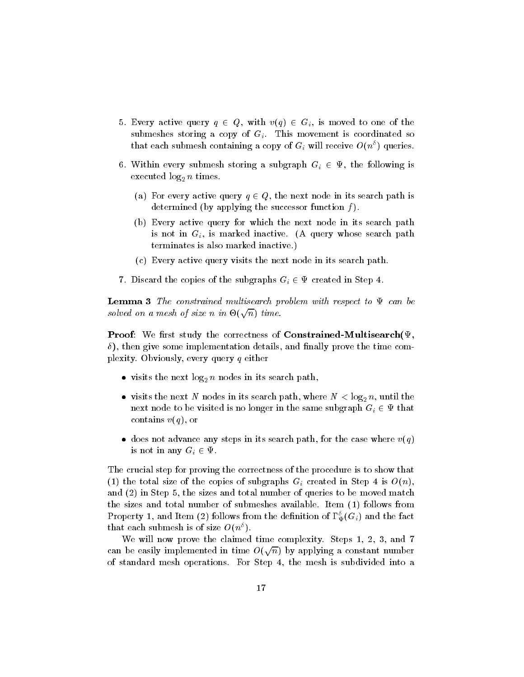- 5. Every active query  $q \in Q$ , with  $v(q) \in G_i$ , is moved to one of the submeshes storing a copy of  $G_i$ . This movement is coordinated so that each submesh containing a copy of  $G_i$  will receive  $O(n^{\delta})$  queries.
- 6. Within every submesh storing a subgraph  $G_i \in \Psi$ , the following is executed in  $\mathbf{e}_2$  n times.
	- (a) For every active query  $q \in Q$ , the next node in its search path is determined (by applying the successor function  $f$ ).
	- (b) Every active query for which the next node in its search path is not in  $G_i$ , is marked inactive. (A query whose search path terminates is also marked inactive.)
	- (c) Every active query visits the next node in its search path.
- 7. Discard the copies of the subgraphs  $G_i \in \Psi$  created in Step 4.

**Lemma 3** The constrained multisearch problem with respect to  $\Psi$  can be solved on a mesh of size n in  $\Theta(\sqrt{n})$  time.

**Proof:** We first study the correctness of **Constrained-Multisearch**( $\Psi$ ,  $\delta$ ), then give some implementation details, and finally prove the time complexity. Obviously, every query <sup>q</sup> either

- $\bullet$  visits the next log $_2$   $n$  nodes in its search path,  $\hspace{0.1mm}$
- $\bullet\,$  visits the next  $N$  nodes in its search path, where  $N\,<\,\log_2 n,$  until the next node to be visited is no longer in the same subgraph  $G_i \in \Psi$  that contains  $v(q)$ , or
- $\bullet$  does not advance any steps in its search path, for the case where  $v(q)$ is not in any  $G_i \in \Psi$ .

The crucial step for proving the correctness of the procedure is to show that (1) the total size of the copies of subgraphs  $G_i$  created in Step 4 is  $O(n)$ , and (2) in Step 5, the sizes and total number of queries to be moved match the sizes and total number of submeshes available. Item (1) follows from Property 1, and Item (2) follows from the definition of 1  $_{\Psi}(\mathbf{G}_i)$  and the fact that each submesh is of size  $O(n^{\delta})$ .

We will now prove the claimed time complexity. Steps 1, 2, 3, and 7 can be easily implemented in time  $O(\sqrt{n})$  by applying a constant number of standard mesh operations. For Step 4, the mesh is subdivided into a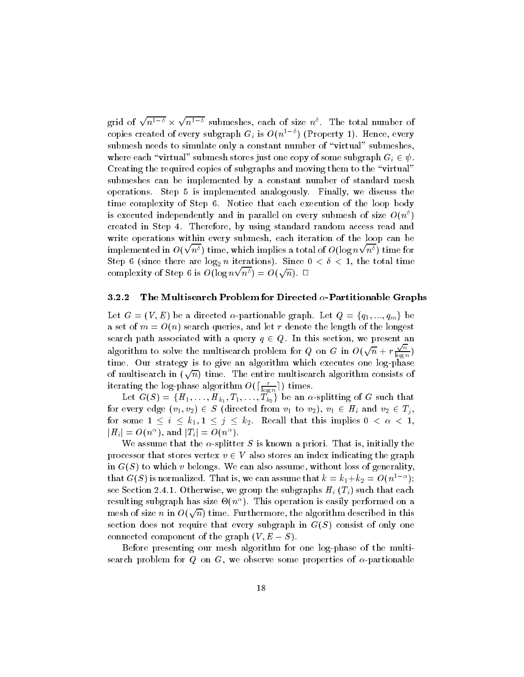grid of  $\sqrt{n^{1-\delta}} \times \sqrt{n^{1-\delta}}$  submeshes, each of size  $n^{\delta}$ . The total number of copies created of every subgraph  $G_i$  is  $O(n^{1-\delta})$  (Property 1). Hence, every submesh needs to simulate only a constant number of "virtual" submeshes, where each "virtual" submesh stores just one copy of some subgraph  $G_i \in \psi$ . Creating the required copies of subgraphs and moving them to the "virtual" submeshes can be implemented by a constant number of standard mesh operations. Step 5 is implemented analogously. Finally, we discuss the time complexity of Step 6. Notice that each execution of the loop body is executed independently and in parallel on every submesh of size  $O(n^{\delta})$ created in Step 4. Therefore, by using standard random access read and write operations within every submesh, each iteration of the loop can be implemented in  $O(\sqrt{n^\delta})$  time, which implies a total of  $O(\log n\sqrt{n^\delta})$  time for  $S_{\rm eff}$  is (since there are long to iterations). Since  $\sim$  1, the total time time  $\text{complexity of Step 6 is } O(\log n\sqrt{n^\delta}) = O(\sqrt{n}).$ 

#### 3.2.2 The Multisearch Problem for Directed  $\alpha$ -Partitionable Graphs

Let  $G = (V, E)$  be a directed  $\alpha$ -partionable graph. Let  $Q = \{q_1, ..., q_m\}$  be a set of  $m = O(n)$  search queries, and let r denote the length of the longest search path associated with a query  $q \in Q$ . In this section, we present an algorithm to solve the multisearch problem for Q on G in  $O(\sqrt{n} + r^{\frac{\sqrt{n}}{\log n}})$  $\log n /$ time. Our strategy is to give an algorithm which executes one log-phase of multisearch in  $(\sqrt{n})$  time. The entire multisearch algorithm consists of iterating the log-phase algorithm  $O(\lceil \frac{r}{\log n} \rceil)$  times.

Let  $G(S) = \{H_1, \ldots, H_{k_1}, T_1, \ldots, T_{k_2} \}$  be an  $\alpha$ -splitting of  $G$  such that for every edge  $(v_1, v_2) \in S$  (directed from  $v_1$  to  $v_2$ ),  $v_1 \in H_i$  and  $v_2 \in T_i$ , for some  $1 \leq i \leq k_1, 1 \leq j \leq k_2$ . Recall that this implies  $0 < \alpha < 1$ ,  $|H_i| = O(n^{\alpha}), \, \text{and} \, \, |T_i| = O(n^{\alpha}).$ 

We assume that the  $\alpha$ -splitter S is known a priori. That is, initially the processor that stores vertex  $v \in V$  also stores an index indicating the graph in  $G(S)$  to which v belongs. We can also assume, without loss of generality, that G(S) is normalized. That is, we can assume that  $\kappa = \kappa_1 + \kappa_2 = O(n^2 - 1)$ ; see Section 2.4.1. Otherwise, we group the subgraphs  $H_i$  ( $T_i$ ) such that each resulting subgraph has size  $\phi(u^*)$ . This operation is easily performed on a mesh of size  $n$  in  $O(\sqrt{n})$  time. Furthermore, the algorithm described in this section does not require that every subgraph in  $G(S)$  consist of only one connected component of the graph  $(V, E-S)$ .

Before presenting our mesh algorithm for one log-phase of the multisearch problem for Q on G, we observe some properties of  $\alpha$ -partionable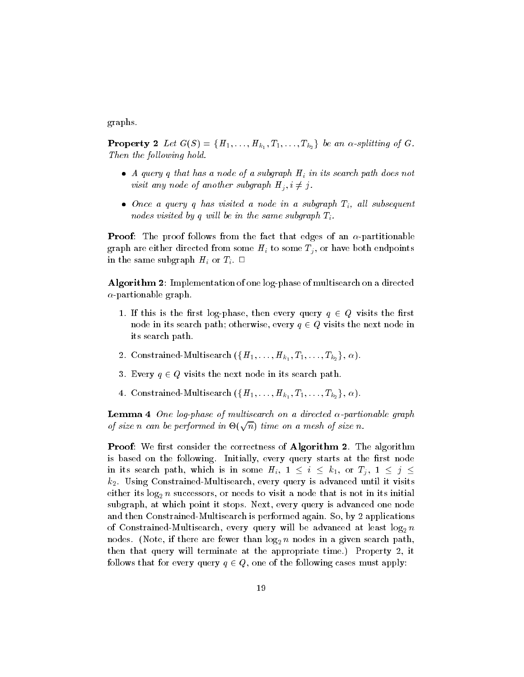graphs.

**Property 2** Let  $G(S) = \{H_1, \ldots, H_{k_1}, T_1, \ldots, T_{k_2}\}$  be an  $\alpha$ -splitting of  $G$ . Then the following hold.

- $\bullet$  A query q that has a node of a subgraph H $_i$  in its search path does not visit any node of another subgraph  $H_i, i \neq j$ .
- $\bullet$  Once a query q nas visited a node in a subgraph  $\mathcal{I}_i$ , all subsequent nodes visited by q will be in the same subgraph  $T_i$ .

**Proof:** The proof follows from the fact that edges of an  $\alpha$ -partitionable graph are either directed from some  $H_i$  to some  $T_j$ , or have both endpoints in the same subgraph  $H_i$  or  $T_i$ .  $\Box$ 

Algorithm 2: Implementation of one log-phase of multisearch on a directed  $\alpha$ -partionable graph.

- 1. If this is the first log-phase, then every query  $q \in Q$  visits the first node in its search path; otherwise, every  $q \in Q$  visits the next node in its search path.
- $2.\,\, \text{Constrained-Multisearch} \,\, (\{H_1,\ldots,H_{k_1},T_1,\ldots,T_{k_2}\},\, \alpha).$
- 3. Every  $q \in Q$  visits the next node in its search path.
- 4. Constrained-Multisearch  $(\{H_1,\ldots,H_{k_1},T_1,\ldots,T_{k_2}\},\,\alpha).$

**Lemma 4** One log-phase of multisearch on a directed  $\alpha$ -partionable graph of size n can be performed in  $\Theta(\sqrt{n})$  time on a mesh of size n.

**Proof:** We first consider the correctness of **Algorithm 2**. The algorithm is based on the following. Initially, every query starts at the first node in its search path, which is in some  $H_i$ ,  $1 \leq i \leq k_1$ , or  $T_i$ ,  $1 \leq j \leq j$  $k_2$ . Using Constrained-Multisearch, every query is advanced until it visits either its log2 <sup>n</sup> successors, or needs to visit a node that is not in its initial subgraph, at which point it stops. Next, every query is advanced one node and then Constrained-Multisearch is performed again. So, by 2 applications of constrained multiple  $\alpha$  constraints and  $\alpha$  and  $\alpha$  are advanced at least log2 no advanced at least log2 no advanced at least log2 no advanced at least log2 no advanced at least log2 no advanced at least log2 no ad nodes. (note, if there are fewer than log2 n nodes in a given search path,  $\Gamma$ then that query will terminate at the appropriate time.) Property 2, it follows that for every query  $q \in Q$ , one of the following cases must apply: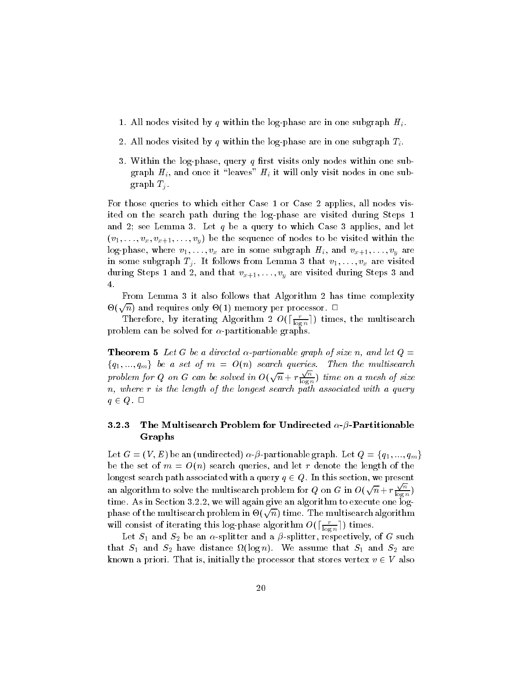- 1. All nodes visited by q within the log-phase are in one subgraph  $H_i$ .
- 2. All nodes visited by q within the log-phase are in one subgraph  $T_i$ .
- 3. Within the log-phase, query  $q$  first visits only nodes within one subgraph  $H_i$ , and once it "leaves"  $H_i$  it will only visit nodes in one subgraph  $T_j$ .

For those queries to which either Case 1 or Case 2 applies, all nodes visited on the search path during the log-phase are visited during Steps 1 and 2; see Lemma 3. Let  $q$  be a query to which Case 3 applies, and let  $(v_1, \ldots, v_x, v_{x+1}, \ldots, v_y)$  be the sequence of nodes to be visited within the log-phase, where  $v_1, \ldots, v_x$  are in some subgraph  $H_i$ , and  $v_{x+1}, \ldots, v_y$  are in some subgraph  $T_j$ . It follows from Lemma 3 that  $v_1, \ldots, v_x$  are visited during Steps 1 and 2, and that  $v_{x+1}, \ldots, v_y$  are visited during Steps 3 and 4.

From Lemma 3 it also follows that Algorithm 2 has time complexity  $\Theta(\sqrt{n})$  and requires only  $\Theta(1)$  memory per processor.  $\Box$ 

Therefore, by iterating Algorithm 2  $O(\lceil\frac{r}{\log n}\rceil)$  times, the multisearch problem can be solved for  $\alpha$ -partitionable graphs.

**Theorem 5** Let G be a directed  $\alpha$ -partionable graph of size n, and let  $Q =$  ${q_1, ..., q_m}$  be a set of  $m = O(n)$  search queries. Then the multisearch problem for Q on G can be solved in  $O(\sqrt{n} + r \frac{\sqrt{n}}{\log n})$  t  $\log n$  /  $\qquad \qquad$  $n,$  where r is the length of the longest search path associated with a query  $q \in Q$ .  $\Box$ 

## 3.2.3 The Multisearch Problem for Undirected  $\alpha$ - $\beta$ -Partitionable Graphs

Let  $G = (V, E)$  be an (undirected)  $\alpha \cdot \beta$ -partionable graph. Let  $Q = \{q_1, ..., q_m\}$ be the set of  $m = O(n)$  search queries, and let r denote the length of the longest search path associated with a query  $q \in Q$ . In this section, we present an algorithm to solve the multisearch problem for  $Q$  on  $G$  in  $O(\sqrt{n} + r \frac{\sqrt{n}}{\log n})$  $\log n/$ time. As in Section 3.2.2, we will again give an algorithm to execute one logphase of the multisearch problem in  $\Theta(\sqrt{n})$  time. The multisearch algorithm will consist of iterating this log-phase algorithm  $O(\lceil \frac{r}{\log n} \rceil)$  times.

where  $\mathbf{r}_1$  and state and state and state and state and protocol state and such that such a such that that S1 and S2 metric distance that  $\mathbf{S}^{1,1}$  are summer that  $\mathbf{S}^{1,1}$  and  $\mathbf{S}^{2,1}$ known a priori. That is, initially the processor that stores vertex  $v \in V$  also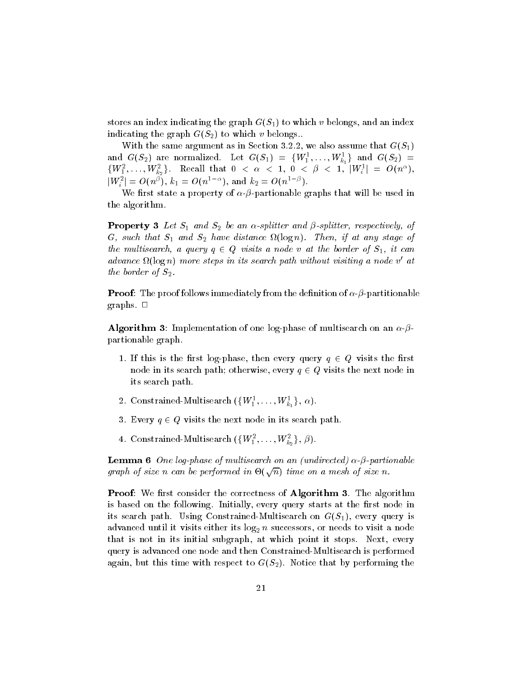stores an index indicating the graph  $G(S_1)$  to which v belongs, and an index indicating the graph  $G(S_2)$  to which v belongs..

With the same argument as in Section 3.2.2, we also assume that  $G(S_1)$ and  $G(S_2)$  are normalized. Let  $G(S_1)~=~\{W_1^1,\ldots,W_{k_1}^1\}$  and  $G(S_2)~=~$  $\{W_1^2,\ldots,W_{k_2}^2\}.$  Recall that  $0~<~\alpha~<~1,~0~<~\beta~<~1,~|W_i^1|~=~O(n^{\alpha}),$  $|W_i^2|=O(n^{\beta}), \, k_1=O(n^{1-\alpha}), \, \text{and} \,\, k_2=O(n^{1-\beta}).$ 

We first state a property of  $\alpha$ - $\beta$ -partionable graphs that will be used in the algorithm.

 $\mathcal{L} = \mathcal{L} = \{ \mathcal{L} = \{ \mathcal{L} = \{ \mathcal{L} = \{ \mathcal{L} = \{ \mathcal{L} = \{ \mathcal{L} = \{ \mathcal{L} = \{ \mathcal{L} = \{ \mathcal{L} = \{ \mathcal{L} = \{ \mathcal{L} = \{ \mathcal{L} = \{ \mathcal{L} = \{ \mathcal{L} = \{ \mathcal{L} = \{ \mathcal{L} = \{ \mathcal{L} = \{ \mathcal{L} = \{ \mathcal{L} = \{ \mathcal{L} = \{ \mathcal{L} = \{ \mathcal{L} = \{ \mathcal{L}$ G, such that S1 and S2 have distance strength — have distance any stage of the multisearch, a query  $q \in Q$  visits a node v at the border of  $S_1$ , it can aavance st(10gn) more steps in us search path without visiting a node v-atthe border of  $S_2$ .

**Proof**: The proof follows immediately from the definition of  $\alpha$ - $\beta$ -partitionable graphs.  $\Box$ 

**Algorithm 3**: Implementation of one log-phase of multisearch on an  $\alpha$ - $\beta$ partionable graph.

- 1. If this is the first log-phase, then every query  $q \in Q$  visits the first node in its search path; otherwise, every  $q \in Q$  visits the next node in its search path.
- $2.\,\, \text{Constrained-Multisearch} \,\, (\{W_1^1,\ldots,W_{k_1}^1\},\, \alpha).$
- 3. Every  $q \in Q$  visits the next node in its search path.
- $4. \ \textrm{Constrained-Multisearch} \ (\{W_1^2, \ldots, W_{k_2}^2\},\, \beta).$

**Lemma 6** One log-phase of multisearch on an (undirected)  $\alpha$ - $\beta$ -partionable graph of size n can be performed in  $\Theta(\sqrt{n})$  time on a mesh of size n.

**Proof:** We first consider the correctness of **Algorithm 3**. The algorithm is based on the following. Initially, every query starts at the first node in its search path. Using Constrained-Multisearch on  $G(S_1)$ , every query is advanced until it visits either its log2 n successors, or needs to visit a node  $\alpha$ that is not in its initial subgraph, at which point it stops. Next, every query is advanced one node and then Constrained-Multisearch is performed again, but this time with respect to  $G(S_2)$ . Notice that by performing the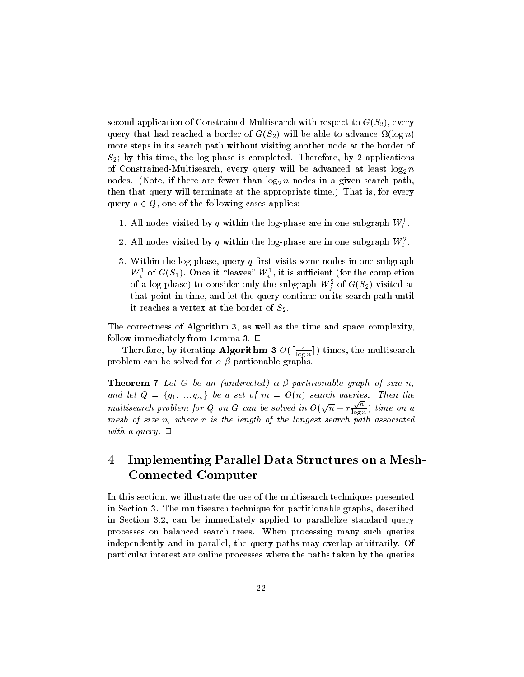second application of Constrained-Multisearch with respect to  $G(S_2),$  every query that had reached a border of G(S2) while to advance to advance  $\alpha$ more steps in its search path without visiting another node at the border of  $S_2$ ; by this time, the log-phase is completed. Therefore, by 2 applications of constrained multiple  $\alpha$  constraints and  $\alpha$  and  $\alpha$  are advanced at least log2 no advanced at least log2 no advanced at least log2 no advanced at least log2 no advanced at least log2 no advanced at least log2 no ad nodes. (note, if there are fewer than log2 n nodes in a given search path,  $\Gamma$ then that query will terminate at the appropriate time.) That is, for every query  $q \in Q$ , one of the following cases applies:

- 1. All nodes visited by q within the log-phase are in one subgraph  $W_i$  .
- 2. All nodes visited by  $q$  within the log-phase are in one subgraph  $w_{\tilde{i}}$  .
- 3. Within the log-phase, query  $q$  first visits some nodes in one subgraph  $W_i$  or  $G(S_1)$ . Once it "leaves"  $W_i$ , it is sumclement (for the completion of a log-phase) to consider only the subgraph  $W^{\tau}_{j}$  of  $G(S_{2})$  visited at that point in time, and let the query continue on its search path until it reaches a vertex at the border of  $S_2$ .

The correctness of Algorithm 3, as well as the time and space complexity, follow immediately from Lemma 3.  $\Box$ 

Therefore, by iterating Algorithm 3  $O(\left\lceil \frac{r}{\log n} \right\rceil)$  times, the multisearch problem can be solved for  $\alpha$ - $\beta$ -partionable graphs.

**Theorem 7** Let G be an (undirected)  $\alpha$ - $\beta$ -partitionable graph of size n, and let  $Q = \{q_1, ..., q_m\}$  be a set of  $m = O(n)$  search queries. Then the multisearch problem for Q on G can be solved in  $O(\sqrt{n} + r \frac{\sqrt{n}}{\log n})$  t  $\log n$  ) time on a mesh of size n, where <sup>r</sup> is the length of the longest search path associated with a query.  $\Box$ 

#### 4 Implementing Parallel Data Structures on a Mesh-Connected Computer

In this section, we illustrate the use of the multisearch techniques presented in Section 3. The multisearch technique for partitionable graphs, described in Section 3.2, can be immediately applied to parallelize standard query processes on balanced search trees. When processing many such queries independently and in parallel, the query paths may overlap arbitrarily. Of particular interest are online processes where the paths taken by the queries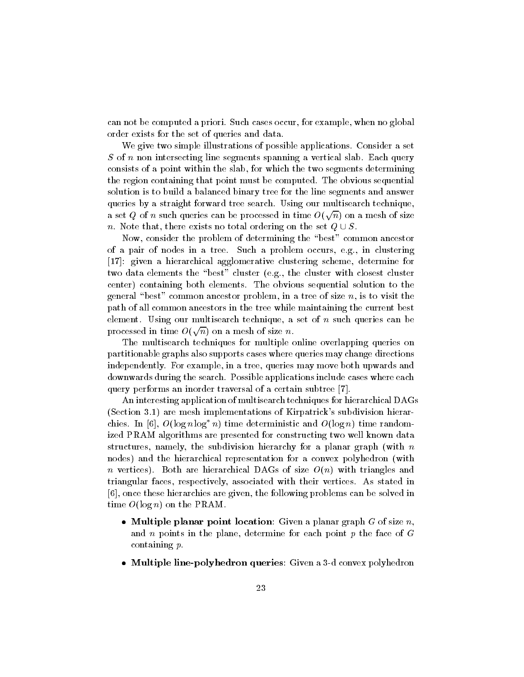can not be computed a priori. Such cases occur, for example, when no global order exists for the set of queries and data.

We give two simple illustrations of possible applications. Consider a set S of n non intersecting line segments spanning a vertical slab. Each query consists of a point within the slab, for which the two segments determining the region containing that point must be computed. The obvious sequential solution is to build a balanced binary tree for the line segments and answer queries by a straight forward tree search. Using our multisearch technique, a set  $Q$  of  $n$  such queries can be processed in time  $O(\sqrt{n})$  on a mesh of size n. Note that, there exists no total ordering on the set  $Q \cup S$ .<br>Now, consider the problem of determining the "best" common ancestor

of a pair of nodes in a tree. Such a problem occurs, e.g., in clustering [17]: given a hierarchical agglomerative clustering scheme, determine for two data elements the "best" cluster (e.g., the cluster with closest cluster center) containing both elements. The obvious sequential solution to the general "best" common ancestor problem, in a tree of size  $n$ , is to visit the path of all common ancestors in the tree while maintaining the current best element. Using our multisearch technique, a set of  $n$  such queries can be processed in time  $O(\sqrt{n})$  on a mesh of size  $n.$ 

The multisearch techniques for multiple online overlapping queries on partitionable graphs also supports cases where queries may change directions independently. For example, in a tree, queries may move both upwards and downwards during the search. Possible applications include cases where each query performs an inorder traversal of a certain subtree [7].

An interesting application of multisearch techniques for hierarchical DAGs (Section 3.1) are mesh implementations of Kirpatrick's subdivision hierarchies. In [6],  $O(\log n \log^* n)$  time deterministic and  $O(\log n)$  time randomized PRAM algorithms are presented for constructing two well known data structures, namely, the subdivision hierarchy for a planar graph (with  $n$ nodes) and the hierarchical representation for a convex polyhedron (with n vertices). Both are hierarchical DAGs of size  $O(n)$  with triangles and triangular faces, respectively, associated with their vertices. As stated in [6], once these hierarchies are given, the following problems can be solved in time  $O(\log n)$  on the PRAM

- $\bullet$  Multiple planar point location: Given a planar graph G of size  $n$ , and n points in the plane, determine for each point  $p$  the face of  $G$ containing p.
- $\bullet$  -Multiple line-polyhedron queries: Given a 3-d convex polyhedron  $\bullet$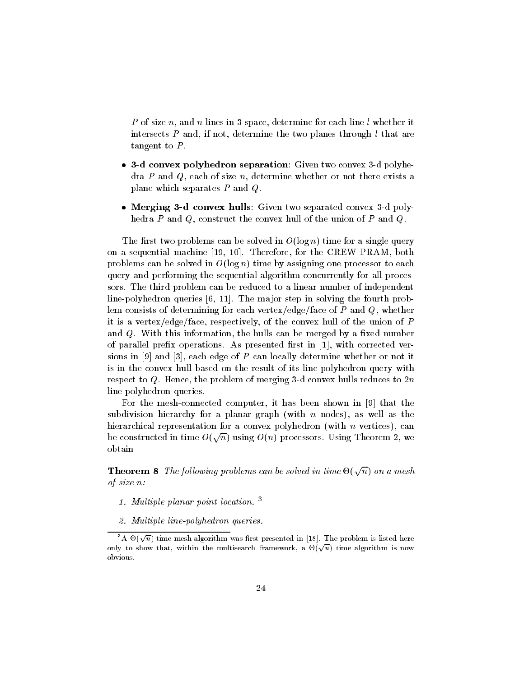P of size n, and n lines in 3-space, determine for each line  $l$  whether it intersects  $P$  and, if not, determine the two planes through  $l$  that are tangent to  $P$ .

- 3-d convex polyhedron separation: Given two convex 3-d polyhedra P and Q, each of size n, determine whether or not there exists a plane which separates <sup>P</sup> and Q.
- $\bullet$  -Merging 3-d convex hulls: Given two separated convex 3-d polyhedra P and Q, construct the convex hull of the union of P and Q.

The first two problems can be solved in  $O(\log n)$  time for a single query on a sequential machine [19, 10]. Therefore, for the CREW PRAM, both problems can be solved in  $O(\log n)$  time by assigning one processor to each query and performing the sequential algorithm concurrently for all processors. The third problem can be reduced to a linear number of independent line-polyhedron queries [6, 11]. The ma jor step in solving the fourth problem consists of determining for each vertex/edge/face of  $P$  and  $Q$ , whether it is a vertex/edge/face, respectively, of the convex hull of the union of <sup>P</sup> and  $Q$ . With this information, the hulls can be merged by a fixed number of parallel prefix operations. As presented first in  $[1]$ , with corrected versions in [9] and [3], each edge of  $P$  can locally determine whether or not it is in the convex hull based on the result of its line-polyhedron query with respect to  $Q$ . Hence, the problem of merging 3-d convex hulls reduces to  $2n$ line-polyhedron queries.

For the mesh-connected computer, it has been shown in [9] that the subdivision hierarchy for a planar graph (with n nodes), as well as the hierarchical representation for a convex polyhedron (with  $n$  vertices), can be constructed in time  $O(\sqrt{n})$  using  $O(n)$  processors. Using Theorem 2, we obtain

**Theorem 8** The following problems can be solved in time  $\Theta(\sqrt{n})$  on a mesh of size n:

- 1. Multiple planar point location. <sup>3</sup>
- 2. Multiple line-polyhedron queries.

<sup>&</sup>lt;sup>3</sup>A  $\Theta(\sqrt{n})$  time mesh algorithm was first presented in [18]. The problem is listed here only to show that, within the multisearch framework, a  $\Theta(\sqrt{n})$  time algorithm is now obvious.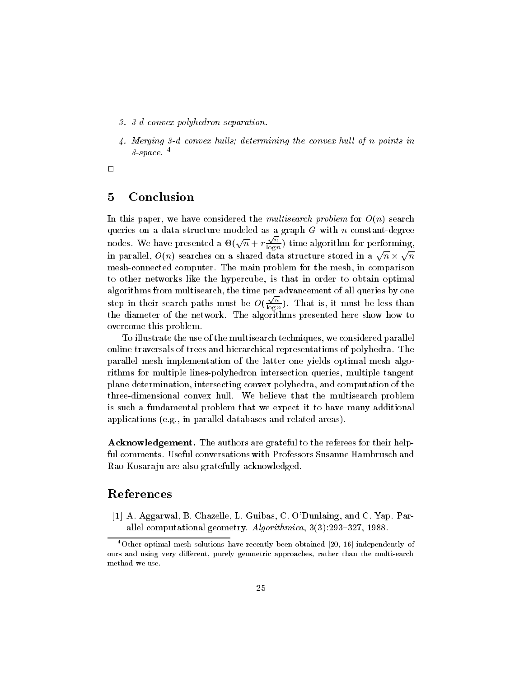- 3. 3-d convex polyhedron separation.
- $4.$  Merging 3-d convex hulls; determining the convex hull of n points in  $3$ -space.  $4$

 $\Box$ 

#### 5Conclusion

In this paper, we have considered the *multisearch problem* for  $O(n)$  search queries on a data structure modeled as a graph G with n constant-degree nodes. We have presented a  $\Theta(\sqrt{n} + r \frac{\sqrt{n}}{\log n})$  t  $\log n$  o performing,  $\log n$ in parallel,  $O(n)$  searches on a shared data structure stored in a  $\sqrt{n} \times \sqrt{n}$ mesh-connected computer. The main problem for the mesh, in comparison to other networks like the hypercube, is that in order to obtain optimal algorithms from multisearch, the time per advancement of all queries by one step in their search paths must be  $O(\frac{\sqrt{n}}{n})$ .  $\log n$ ). The islamic behavior is that is must be less than  $\log n$ the diameter of the network. The algorithms presented here show how to overcome this problem.

To illustrate the use of the multisearch techniques, we considered parallel online traversals of trees and hierarchical representations of polyhedra. The parallel mesh implementation of the latter one yields optimal mesh algorithms for multiple lines-polyhedron intersection queries, multiple tangent plane determination, intersecting convex polyhedra, and computation of the three-dimensional convex hull. We believe that the multisearch problem is such a fundamental problem that we expect it to have many additional applications (e.g., in parallel databases and related areas).

Acknowledgement. The authors are grateful to the referees for their helpful comments. Useful conversations with Professors Susanne Hambrusch and Rao Kosara ju are also gratefully acknowledged.

# References

[1] A. Aggarwal, B. Chazelle, L. Guibas, C. O'Dunlaing, and C. Yap. Parallel computational geometry.  $Algorithmica$ ,  $3(3):293-327$ , 1988.

<sup>4</sup>Other optimal mesh solutions have recently been obtained [20, 16] independently of ours and using very different, purely geometric approaches, rather than the multisearch method we use.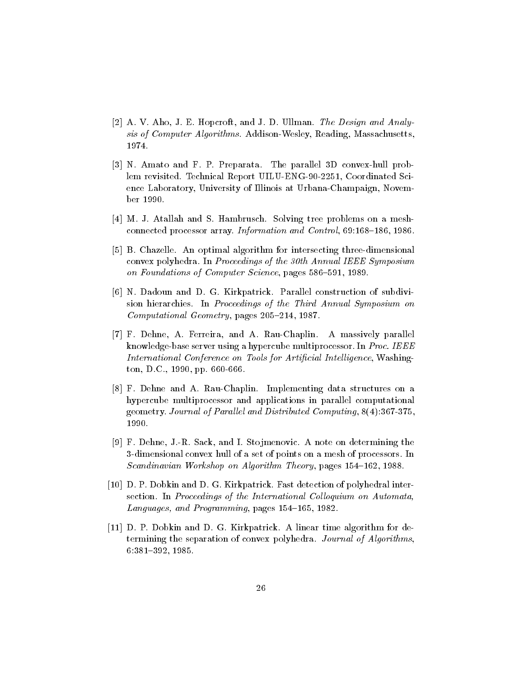- [2] A. V. Aho, J. E. Hopcroft, and J. D. Ullman. The Design and Analysis of Computer Algorithms. Addison-Wesley, Reading, Massachusetts, 1974.
- [3] N. Amato and F. P. Preparata. The parallel 3D convex-hull problem revisited. Technical Report UILU-ENG-90-2251, Coordinated Science Laboratory, University of Illinois at Urbana-Champaign, November 1990.
- [4] M. J. Atallah and S. Hambrusch. Solving tree problems on a meshconnected processor array. Information and Control, 69:168-186, 1986.
- [5] B. Chazelle. An optimal algorithm for intersecting three-dimensional convex polyhedra. In Proceedings of the 30th Annual IEEE Symposium on Foundations of Computer Science, pages 586-591, 1989.
- [6] N. Dadoun and D. G. Kirkpatrick. Parallel construction of subdivision hierarchies. In Proceedings of the Third Annual Symposium on Computational Geometry, pages 205-214, 1987.
- [7] F. Dehne, A. Ferreira, and A. Rau-Chaplin. A massively parallel knowledge-base server using a hypercube multiprocessor. In Proc. IEEE International Conference on Tools for Artificial Intelligence, Washington, D.C., 1990, pp. 660-666.
- [8] F. Dehne and A. Rau-Chaplin. Implementing data structures on a hypercube multiprocessor and applications in parallel computational geometry. Journal of Parallel and Distributed Computing,  $8(4)$ :367-375. 1990.
- [9] F. Dehne, J.-R. Sack, and I. Stojmenovic. A note on determining the 3-dimensional convex hull of a set of points on a mesh of processors. In Scandinavian Workshop on Algorithm Theory, pages 154-162, 1988.
- [10] D. P. Dobkin and D. G. Kirkpatrick. Fast detection of polyhedral intersection. In Proceedings of the International Colloquium on Automata Languages, and Programming, pages 154-165, 1982.
- [11] D. P. Dobkin and D. G. Kirkpatrick. A linear time algorithm for determining the separation of convex polyhedra. Journal of Algorithms, 6:381{392, 1985.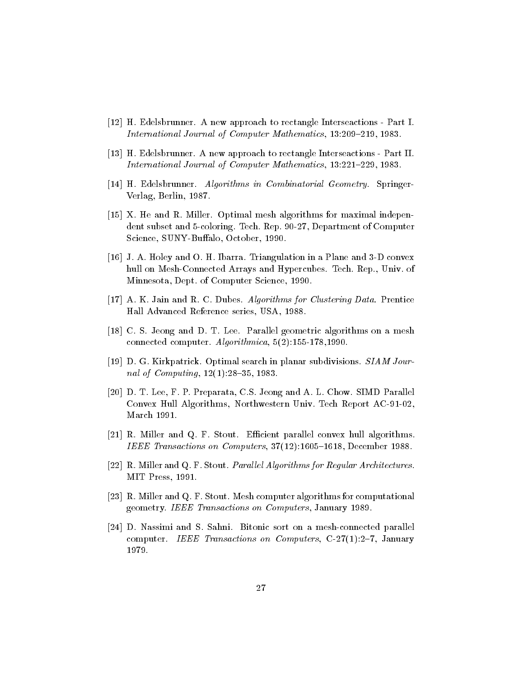- [12] H. Edelsbrunner. A new approach to rectangle Interseactions Part I. International Journal of Computer Mathematics, 13:209-219, 1983.
- [13] H. Edelsbrunner. A new approach to rectangle Interseactions Part II. International Journal of Computer Mathematics, 13:221-229, 1983.
- [14] H. Edelsbrunner. Algorithms in Combinatorial Geometry. Springer-Verlag, Berlin, 1987.
- [15] X. He and R. Miller. Optimal mesh algorithms for maximal independent subset and 5-coloring. Tech. Rep. 90-27, Department of Computer Science, SUNY-Buffalo, October, 1990.
- [16] J. A. Holey and O. H. Ibarra. Triangulation in a Plane and 3-D convex hull on Mesh-Connected Arrays and Hypercubes. Tech. Rep., Univ. of Minnesota, Dept. of Computer Science, 1990.
- [17] A. K. Jain and R. C. Dubes. Algorithms for Clustering Data. Prentice Hall Advanced Reference series, USA, 1988.
- [18] C. S. Jeong and D. T. Lee. Parallel geometric algorithms on a mesh connected computer. Algorithmica, 5(2):155-178,1990.
- [19] D. G. Kirkpatrick. Optimal search in planar subdivisions. SIAM Journal of Computing,  $12(1):28{-}35, 1983$ .
- [20] D. T. Lee, F. P. Preparata, C.S. Jeong and A. L. Chow. SIMD Parallel Convex Hull Algorithms, Northwestern Univ. Tech Report AC-91-02, March 1991.
- [21] R. Miller and Q. F. Stout. Efficient parallel convex hull algorithms. IEEE Transactions on Computers,  $37(12)$ :1605-1618, December 1988.
- [22] R. Miller and Q. F. Stout. *Parallel Algorithms for Regular Architectures*. MIT Press, 1991.
- [23] R. Miller and Q. F. Stout. Mesh computer algorithms for computational geometry. IEEE Transactions on Computers, January 1989.
- [24] D. Nassimi and S. Sahni. Bitonic sort on a mesh-connected parallel computer. IEEE Transactions on Computers,  $C-27(1):2-7$ , January 1979.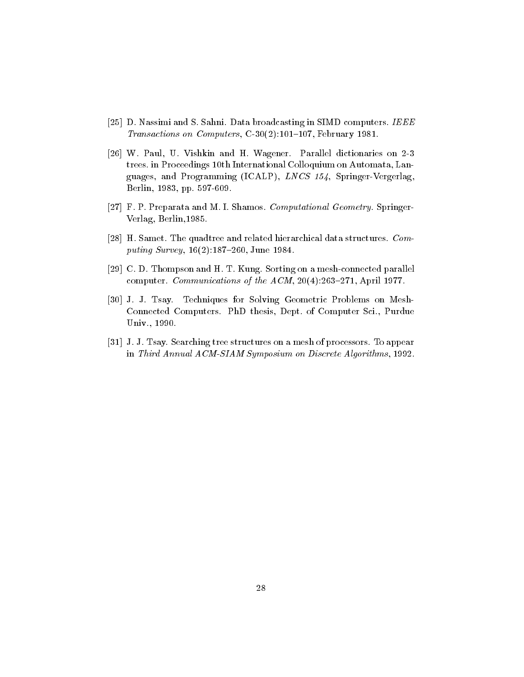- [25] D. Nassimi and S. Sahni. Data broadcasting in SIMD computers. IEEE Transactions on Computers,  $C-30(2):101-107$ , February 1981.
- [26] W. Paul, U. Vishkin and H. Wagener. Parallel dictionaries on 2-3 trees. in Proceedings 10th International Colloquium on Automata, Languages, and Programming (ICALP), LNCS 154, Springer-Vergerlag, Berlin, 1983, pp. 597-609.
- [27] F. P. Preparata and M. I. Shamos. Computational Geometry. Springer-Verlag, Berlin,1985.
- [28] H. Samet. The quadtree and related hierarchical data structures. Computing Survey,  $16(2):187{-}260$ , June 1984.
- [29] C. D. Thompson and H. T. Kung. Sorting on a mesh-connected parallel computer. Communications of the  $ACM$ , 20(4):263-271, April 1977.
- [30] J. J. Tsay. Techniques for Solving Geometric Problems on Mesh-Connected Computers. PhD thesis, Dept. of Computer Sci., Purdue Univ., 1990.
- [31] J. J. Tsay. Searching tree structures on a mesh of processors. To appear in Third Annual ACM-SIAM Symposium on Discrete Algorithms, 1992.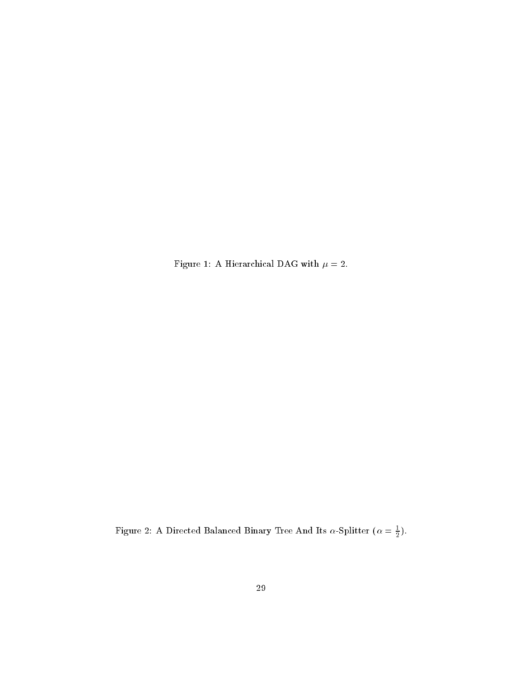Figure 1: A Hierarchical DAG with  $\mu$  = 2.

Figure 2: A Directed Balanced Binary Tree And Its  $\alpha$ -Splitter ( $\alpha = \frac{1}{2}$ ).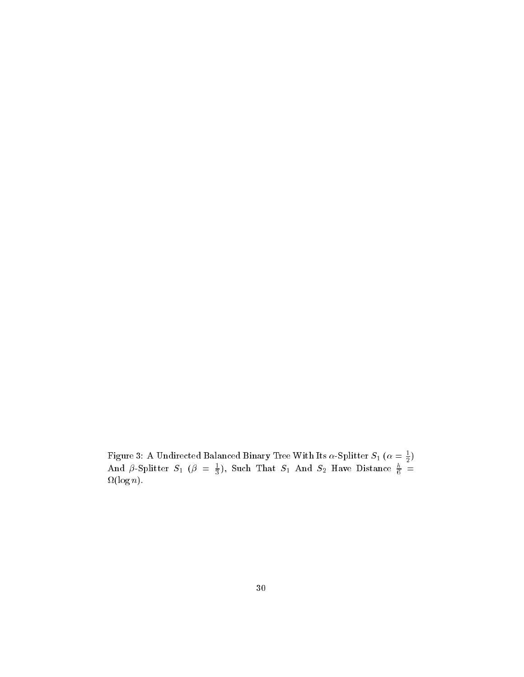Figure 3: A Undirected Balanced Binary Tree With Its  $\alpha$ -Splitter  $s_1$  ( $\alpha=\frac{1}{2})$ And  $\beta$ -Splitter  $S_1$  ( $\beta = \frac{1}{3}$ ), Such That  $S_1$  And  $S_2$  Have Distance  $\frac{2}{6}$  = (log n).